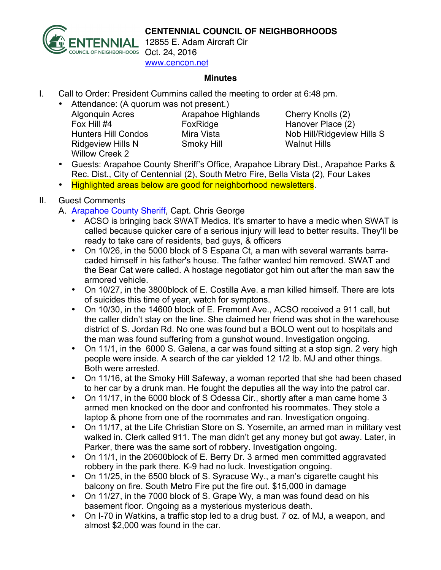



**ENNIAL** 12855 E. Adam Aircraft Cir www.cencon.net

## **Minutes**

- I. Call to Order: President Cummins called the meeting to order at 6:48 pm.
	- Attendance: (A quorum was not present.)

Algonquin Acres Arapahoe Highlands Cherry Knolls (2) Fox Hill #4 FoxRidge Hanover Place (2) Ridgeview Hills N Smoky Hill Walnut Hills Willow Creek 2

Hunters Hill Condos Mira Vista Nob Hill/Ridgeview Hills S

- Guests: Arapahoe County Sheriff's Office, Arapahoe Library Dist., Arapahoe Parks & Rec. Dist., City of Centennial (2), South Metro Fire, Bella Vista (2), Four Lakes
- Highlighted areas below are good for neighborhood newsletters.

## II. Guest Comments

- A. [Arapahoe County Sheriff,](http://www.arapahoesheriff.org) Capt. Chris George
	- ACSO is bringing back SWAT Medics. It's smarter to have a medic when SWAT is called because quicker care of a serious injury will lead to better results. They'll be ready to take care of residents, bad guys, & officers
	- On 10/26, in the 5000 block of S Espana Ct, a man with several warrants barracaded himself in his father's house. The father wanted him removed. SWAT and the Bear Cat were called. A hostage negotiator got him out after the man saw the armored vehicle.
	- On 10/27, in the 3800block of E. Costilla Ave. a man killed himself. There are lots of suicides this time of year, watch for symptons.
	- On 10/30, in the 14600 block of E. Fremont Ave., ACSO received a 911 call, but the caller didn't stay on the line. She claimed her friend was shot in the warehouse district of S. Jordan Rd. No one was found but a BOLO went out to hospitals and the man was found suffering from a gunshot wound. Investigation ongoing.
	- On 11/1, in the 6000 S. Galena, a car was found sitting at a stop sign. 2 very high people were inside. A search of the car yielded 12 1/2 lb. MJ and other things. Both were arrested.
	- On 11/16, at the Smoky Hill Safeway, a woman reported that she had been chased to her car by a drunk man. He fought the deputies all the way into the patrol car.
	- On 11/17, in the 6000 block of S Odessa Cir., shortly after a man came home 3 armed men knocked on the door and confronted his roommates. They stole a laptop & phone from one of the roommates and ran. Investigation ongoing.
	- On 11/17, at the Life Christian Store on S. Yosemite, an armed man in military vest walked in. Clerk called 911. The man didn't get any money but got away. Later, in Parker, there was the same sort of robbery. Investigation ongoing.
	- On 11/1, in the 20600block of E. Berry Dr. 3 armed men committed aggravated robbery in the park there. K-9 had no luck. Investigation ongoing.
	- On 11/25, in the 6500 block of S. Syracuse Wy., a man's cigarette caught his balcony on fire. South Metro Fire put the fire out. \$15,000 in damage
	- On 11/27, in the 7000 block of S. Grape Wy, a man was found dead on his basement floor. Ongoing as a mysterious mysterious death.
	- On I-70 in Watkins, a traffic stop led to a drug bust. 7 oz. of MJ, a weapon, and almost \$2,000 was found in the car.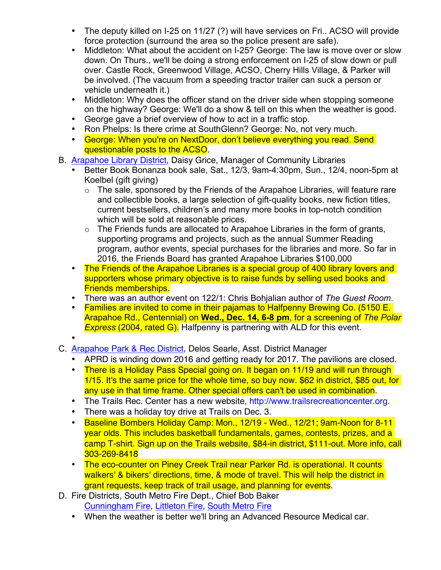- The deputy killed on I-25 on 11/27 (?) will have services on Fri.. ACSO will provide force protection (surround the area so the police present are safe).
- Middleton: What about the accident on I-25? George: The law is move over or slow down. On Thurs., we'll be doing a strong enforcement on I-25 of slow down or pull over. Castle Rock, Greenwood Village, ACSO, Cherry Hills Village, & Parker will be involved. (The vacuum from a speeding tractor trailer can suck a person or vehicle underneath it.)
- Middleton: Why does the officer stand on the driver side when stopping someone on the highway? George: We'll do a show & tell on this when the weather is good.
- George gave a brief overview of how to act in a traffic stop.
- Ron Phelps: Is there crime at SouthGlenn? George: No, not very much.
- George: When you're on NextDoor, don't believe everything you read. Send questionable posts to the ACSO.
- B. [Arapahoe Library District,](http://www.arapahoelibraries.org/) Daisy Grice, Manager of Community Libraries
	- Better Book Bonanza book sale, Sat., 12/3, 9am-4:30pm, Sun., 12/4, noon-5pm at Koelbel (gift giving)
		- o The sale, sponsored by the Friends of the Arapahoe Libraries, will feature rare and collectible books, a large selection of gift-quality books, new fiction titles, current bestsellers, children's and many more books in top-notch condition which will be sold at reasonable prices.
		- $\circ$  The Friends funds are allocated to Arapahoe Libraries in the form of grants, supporting programs and projects, such as the annual Summer Reading program, author events, special purchases for the libraries and more. So far in 2016, the Friends Board has granted Arapahoe Libraries \$100,000
	- The Friends of the Arapahoe Libraries is a special group of 400 library lovers and supporters whose primary objective is to raise funds by selling used books and Friends memberships.
	- There was an author event on 122/1: Chris Bohjalian author of *The Guest Room*.
	- Families are invited to come in their pajamas to Halfpenny Brewing Co. (5150 E. Arapahoe Rd., Centennial) on **Wed., Dec. 14, 6-8 pm**, for a screening of *The Polar Express* (2004, rated G). Halfpenny is partnering with ALD for this event.
	- •
- C. [Arapahoe Park & Rec District,](http://www.aprd.org) Delos Searle, Asst. District Manager
	- APRD is winding down 2016 and getting ready for 2017. The pavilions are closed.
	- There is a Holiday Pass Special going on. It began on 11/19 and will run through 1/15. It's the same price for the whole time, so buy now. \$62 in district, \$85 out, for any use in that time frame. Other special offers can't be used in combination.
	- The Trails Rec. Center has a new website, http://www.trailsrecreationcenter.org.
	- There was a holiday toy drive at Trails on Dec. 3.
	- Baseline Bombers Holiday Camp: Mon., 12/19 Wed., 12/21; 9am-Noon for 8-11 year olds. This includes basketball fundamentals, games, contests, prizes, and a camp T-shirt. Sign up on the Trails website, \$84-in district, \$111-out. More info, call 303-269-8418
	- The eco-counter on Piney Creek Trail near Parker Rd. is operational. It counts walkers' & bikers' directions, time, & mode of travel. This will help the district in grant requests, keep track of trail usage, and planning for events.
- D. Fire Districts, South Metro Fire Dept., Chief Bob Baker [Cunningham Fire,](http://www.cfpd.org) [Littleton Fire,](http://www.littletongov.org/fire) [South Metro Fire](http://www.southmetro.org)
	- When the weather is better we'll bring an Advanced Resource Medical car.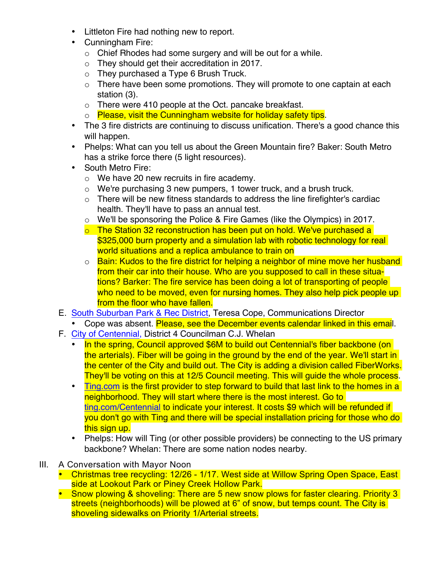- Littleton Fire had nothing new to report.
- Cunningham Fire:
	- o Chief Rhodes had some surgery and will be out for a while.
	- o They should get their accreditation in 2017.
	- o They purchased a Type 6 Brush Truck.
	- $\circ$  There have been some promotions. They will promote to one captain at each station (3).
	- o There were 410 people at the Oct. pancake breakfast.
	- o Please, visit the Cunningham website for holiday safety tips.
- The 3 fire districts are continuing to discuss unification. There's a good chance this will happen.
- Phelps: What can you tell us about the Green Mountain fire? Baker: South Metro has a strike force there (5 light resources).
- South Metro Fire:
	- o We have 20 new recruits in fire academy.
	- o We're purchasing 3 new pumpers, 1 tower truck, and a brush truck.
	- $\circ$  There will be new fitness standards to address the line firefighter's cardiac health. They'll have to pass an annual test.
	- o We'll be sponsoring the Police & Fire Games (like the Olympics) in 2017.
	- $\circ$  The Station 32 reconstruction has been put on hold. We've purchased a \$325,000 burn property and a simulation lab with robotic technology for real world situations and a replica ambulance to train on
	- o Bain: Kudos to the fire district for helping a neighbor of mine move her husband from their car into their house. Who are you supposed to call in these situations? Barker: The fire service has been doing a lot of transporting of people who need to be moved, even for nursing homes. They also help pick people up from the floor who have fallen.
- E. [South Suburban Park & Rec District](http://www.sspr.org), Teresa Cope, Communications Director
	- Cope was absent. Please, see the December events calendar linked in this email.
- F. [City of Centennial,](http://www.centennialco.gov) District 4 Councilman C.J. Whelan
	- In the spring, Council approved \$6M to build out Centennial's fiber backbone (on the arterials). Fiber will be going in the ground by the end of the year. We'll start in the center of the City and build out. The City is adding a division called FiberWorks. They'll be voting on this at 12/5 Council meeting. This will guide the whole process.
	- Ting com is the first provider to step forward to build that last link to the homes in a neighborhood. They will start where there is the most interest. Go to ting.com/Centennial to indicate your interest. It costs \$9 which will be refunded if you don't go with Ting and there will be special installation pricing for those who do this sign up.
	- Phelps: How will Ting (or other possible providers) be connecting to the US primary backbone? Whelan: There are some nation nodes nearby.
- III. A Conversation with Mayor Noon
	- Christmas tree recycling: 12/26 1/17. West side at Willow Spring Open Space, East side at Lookout Park or Piney Creek Hollow Park.
	- Snow plowing & shoveling: There are 5 new snow plows for faster clearing. Priority 3 streets (neighborhoods) will be plowed at 6" of snow, but temps count. The City is shoveling sidewalks on Priority 1/Arterial streets.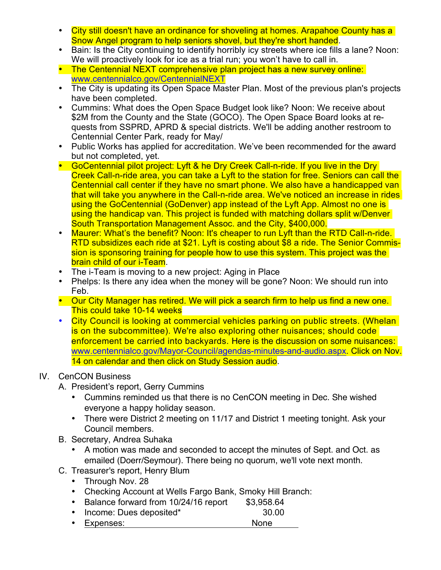- City still doesn't have an ordinance for shoveling at homes. Arapahoe County has a Snow Angel program to help seniors shovel, but they're short handed.
- Bain: Is the City continuing to identify horribly icy streets where ice fills a lane? Noon: We will proactively look for ice as a trial run; you won't have to call in.
- The Centennial NEXT comprehensive plan project has a new survey online: www.centennialco.gov/CentennialNEXT
- The City is updating its Open Space Master Plan. Most of the previous plan's projects have been completed.
- Cummins: What does the Open Space Budget look like? Noon: We receive about \$2M from the County and the State (GOCO). The Open Space Board looks at requests from SSPRD, APRD & special districts. We'll be adding another restroom to Centennial Center Park, ready for May/
- Public Works has applied for accreditation. We've been recommended for the award but not completed, yet.
- GoCentennial pilot project: Lyft & he Dry Creek Call-n-ride. If you live in the Dry Creek Call-n-ride area, you can take a Lyft to the station for free. Seniors can call the Centennial call center if they have no smart phone. We also have a handicapped van that will take you anywhere in the Call-n-ride area. We've noticed an increase in rides using the GoCentennial (GoDenver) app instead of the Lyft App. Almost no one is using the handicap van. This project is funded with matching dollars split w/Denver South Transportation Management Assoc. and the City, \$400,000.
- Maurer: What's the benefit? Noon: It's cheaper to run Lyft than the RTD Call-n-ride. RTD subsidizes each ride at \$21. Lyft is costing about \$8 a ride. The Senior Commission is sponsoring training for people how to use this system. This project was the brain child of our i-Team.
- The i-Team is moving to a new project: Aging in Place
- Phelps: Is there any idea when the money will be gone? Noon: We should run into Feb.
- Our City Manager has retired. We will pick a search firm to help us find a new one. This could take 10-14 weeks
- City Council is looking at commercial vehicles parking on public streets. (Whelan is on the subcommittee). We're also exploring other nuisances; should code enforcement be carried into backyards. Here is the discussion on some nuisances: www.centennialco.gov/Mayor-Council/agendas-minutes-and-audio.aspx. Click on Nov. 14 on calendar and then click on Study Session audio.

## IV. CenCON Business

- A. President's report, Gerry Cummins
	- Cummins reminded us that there is no CenCON meeting in Dec. She wished everyone a happy holiday season.
	- There were District 2 meeting on 11/17 and District 1 meeting tonight. Ask your Council members.
- B. Secretary, Andrea Suhaka
	- A motion was made and seconded to accept the minutes of Sept. and Oct. as emailed (Doerr/Seymour). There being no quorum, we'll vote next month.
- C. Treasurer's report, Henry Blum
	- Through Nov. 28
	- Checking Account at Wells Fargo Bank, Smoky Hill Branch:
	- Balance forward from 10/24/16 report \$3,958.64
	- Income: Dues deposited\* 30.00
	- Expenses: None